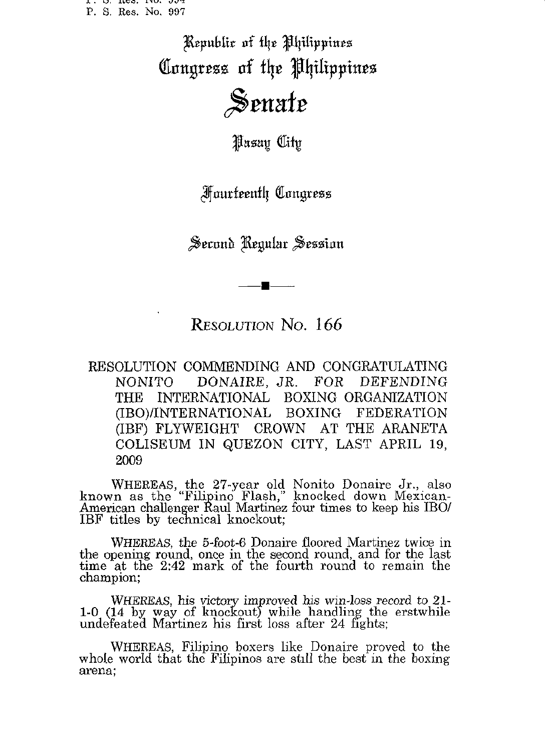T ' M' TILD' TIN AND P. S. Res. No. 997

> Republic of the Philippines Congress of the Philippines Senate

> > **Pasay City**

**Fourteenth Congress** 

Second Regular Session

旱

RESOLUTION No. 166

RESOLUTION COMMENDING AND CONGRATULATING DONAIRE, JR. **NONITO** FOR DEFENDING **THE** INTERNATIONAL BOXING ORGANIZATION (IBO)/INTERNATIONAL **BOXING FEDERATION** (IBF) FLYWEIGHT CROWN AT THE ARANETA COLISEUM IN QUEZON CITY, LAST APRIL 19, 2009

WHEREAS, the 27-year old Nonito Donaire Jr., also<br>known as the "Filipino Flash," knocked down Mexican-<br>American challenger Raul Martinez four times to keep his IBO/<br>IBF titles by technical knockout;

WHEREAS, the 5-foot-6 Donaire floored Martinez twice in the opening round, once in the second round, and for the last time at the 2:42 mark of the fourth round to remain the champion;

WHEREAS, his victory improved his win-loss record to 21-<br>1-0 (14 by way of knockout) while handling the erstwhile<br>undefeated Martinez his first loss after 24 fights;

WHEREAS, Filipino boxers like Donaire proved to the whole world that the Filipinos are still the best in the boxing arena;